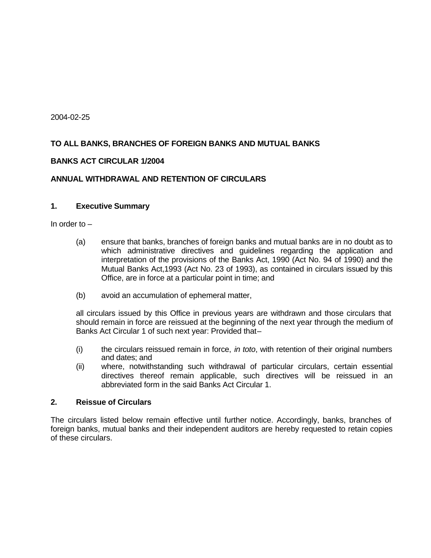### 2004-02-25

# **TO ALL BANKS, BRANCHES OF FOREIGN BANKS AND MUTUAL BANKS**

# **BANKS ACT CIRCULAR 1/2004**

# **ANNUAL WITHDRAWAL AND RETENTION OF CIRCULARS**

### **1. Executive Summary**

#### In order to –

- (a) ensure that banks, branches of foreign banks and mutual banks are in no doubt as to which administrative directives and guidelines regarding the application and interpretation of the provisions of the Banks Act, 1990 (Act No. 94 of 1990) and the Mutual Banks Act,1993 (Act No. 23 of 1993), as contained in circulars issued by this Office, are in force at a particular point in time; and
- (b) avoid an accumulation of ephemeral matter,

all circulars issued by this Office in previous years are withdrawn and those circulars that should remain in force are reissued at the beginning of the next year through the medium of Banks Act Circular 1 of such next year: Provided that–

- (i) the circulars reissued remain in force, *in toto*, with retention of their original numbers and dates; and
- (ii) where, notwithstanding such withdrawal of particular circulars, certain essential directives thereof remain applicable, such directives will be reissued in an abbreviated form in the said Banks Act Circular 1.

# **2. Reissue of Circulars**

The circulars listed below remain effective until further notice. Accordingly, banks, branches of foreign banks, mutual banks and their independent auditors are hereby requested to retain copies of these circulars.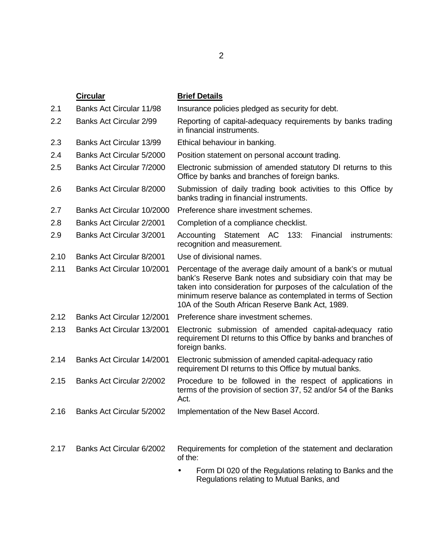|      | <b>Circular</b>                | <b>Brief Details</b>                                                                                                                                                                                                                                                                                            |
|------|--------------------------------|-----------------------------------------------------------------------------------------------------------------------------------------------------------------------------------------------------------------------------------------------------------------------------------------------------------------|
| 2.1  | Banks Act Circular 11/98       | Insurance policies pledged as security for debt.                                                                                                                                                                                                                                                                |
| 2.2  | <b>Banks Act Circular 2/99</b> | Reporting of capital-adequacy requirements by banks trading<br>in financial instruments.                                                                                                                                                                                                                        |
| 2.3  | Banks Act Circular 13/99       | Ethical behaviour in banking.                                                                                                                                                                                                                                                                                   |
| 2.4  | Banks Act Circular 5/2000      | Position statement on personal account trading.                                                                                                                                                                                                                                                                 |
| 2.5  | Banks Act Circular 7/2000      | Electronic submission of amended statutory DI returns to this<br>Office by banks and branches of foreign banks.                                                                                                                                                                                                 |
| 2.6  | Banks Act Circular 8/2000      | Submission of daily trading book activities to this Office by<br>banks trading in financial instruments.                                                                                                                                                                                                        |
| 2.7  | Banks Act Circular 10/2000     | Preference share investment schemes.                                                                                                                                                                                                                                                                            |
| 2.8  | Banks Act Circular 2/2001      | Completion of a compliance checklist.                                                                                                                                                                                                                                                                           |
| 2.9  | Banks Act Circular 3/2001      | Statement AC 133:<br>Accounting<br>Financial<br>instruments:<br>recognition and measurement.                                                                                                                                                                                                                    |
| 2.10 | Banks Act Circular 8/2001      | Use of divisional names.                                                                                                                                                                                                                                                                                        |
| 2.11 | Banks Act Circular 10/2001     | Percentage of the average daily amount of a bank's or mutual<br>bank's Reserve Bank notes and subsidiary coin that may be<br>taken into consideration for purposes of the calculation of the<br>minimum reserve balance as contemplated in terms of Section<br>10A of the South African Reserve Bank Act, 1989. |
| 2.12 | Banks Act Circular 12/2001     | Preference share investment schemes.                                                                                                                                                                                                                                                                            |
| 2.13 | Banks Act Circular 13/2001     | Electronic submission of amended capital-adequacy ratio<br>requirement DI returns to this Office by banks and branches of<br>foreign banks.                                                                                                                                                                     |
| 2.14 | Banks Act Circular 14/2001     | Electronic submission of amended capital-adequacy ratio<br>requirement DI returns to this Office by mutual banks.                                                                                                                                                                                               |
| 2.15 | Banks Act Circular 2/2002      | Procedure to be followed in the respect of applications in<br>terms of the provision of section 37, 52 and/or 54 of the Banks<br>Act.                                                                                                                                                                           |
| 2.16 | Banks Act Circular 5/2002      | Implementation of the New Basel Accord.                                                                                                                                                                                                                                                                         |
| 2.17 | Banks Act Circular 6/2002      | Requirements for completion of the statement and declaration<br>of the:                                                                                                                                                                                                                                         |

• Form DI 020 of the Regulations relating to Banks and the Regulations relating to Mutual Banks, and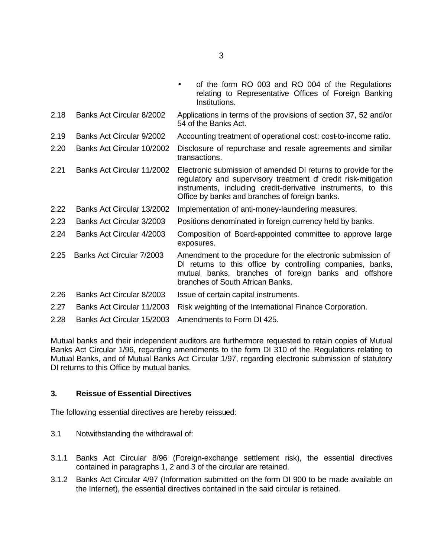- of the form RO 003 and RO 004 of the Regulations relating to Representative Offices of Foreign Banking Institutions. 2.18 Banks Act Circular 8/2002 Applications in terms of the provisions of section 37, 52 and/or 54 of the Banks Act. 2.19 Banks Act Circular 9/2002 Accounting treatment of operational cost: cost-to-income ratio. 2.20 Banks Act Circular 10/2002 Disclosure of repurchase and resale agreements and similar transactions. 2.21 Banks Act Circular 11/2002 Electronic submission of amended DI returns to provide for the regulatory and supervisory treatment of credit risk-mitigation instruments, including credit-derivative instruments, to this Office by banks and branches of foreign banks. 2.22 Banks Act Circular 13/2002 Implementation of anti-money-laundering measures. 2.23 Banks Act Circular 3/2003 Positions denominated in foreign currency held by banks. 2.24 Banks Act Circular 4/2003 Composition of Board-appointed committee to approve large exposures. 2.25 Banks Act Circular 7/2003 Amendment to the procedure for the electronic submission of DI returns to this office by controlling companies, banks, mutual banks, branches of foreign banks and offshore branches of South African Banks. 2.26 Banks Act Circular 8/2003 Issue of certain capital instruments. 2.27 Banks Act Circular 11/2003 Risk weighting of the International Finance Corporation.
- 2.28 Banks Act Circular 15/2003 Amendments to Form DI 425.

Mutual banks and their independent auditors are furthermore requested to retain copies of Mutual Banks Act Circular 1/96, regarding amendments to the form DI 310 of the Regulations relating to Mutual Banks, and of Mutual Banks Act Circular 1/97, regarding electronic submission of statutory DI returns to this Office by mutual banks.

# **3. Reissue of Essential Directives**

The following essential directives are hereby reissued:

- 3.1 Notwithstanding the withdrawal of:
- 3.1.1 Banks Act Circular 8/96 (Foreign-exchange settlement risk), the essential directives contained in paragraphs 1, 2 and 3 of the circular are retained.
- 3.1.2 Banks Act Circular 4/97 (Information submitted on the form DI 900 to be made available on the Internet), the essential directives contained in the said circular is retained.